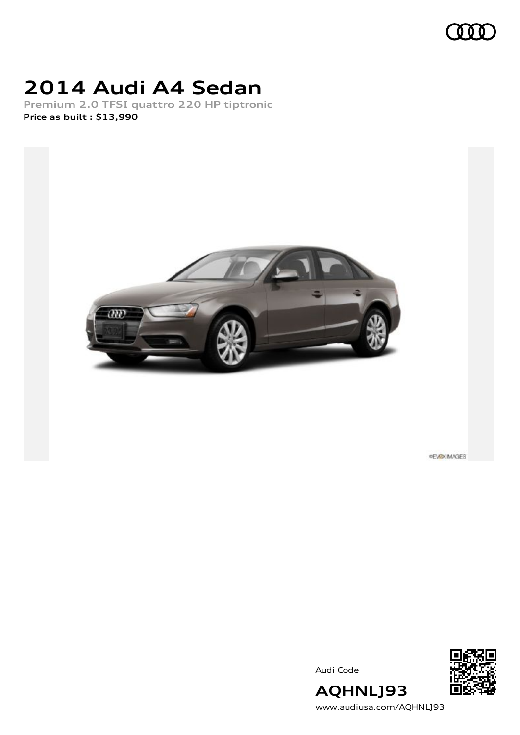

## **2014 Audi A4 Sedan**

**Premium 2.0 TFSI quattro 220 HP tiptronic Price as built [:](#page-10-0) \$13,990**



**PEVEX IMAGES** 

Audi Code



**AQHNLJ93** [www.audiusa.com/AQHNLJ93](https://www.audiusa.com/AQHNLJ93)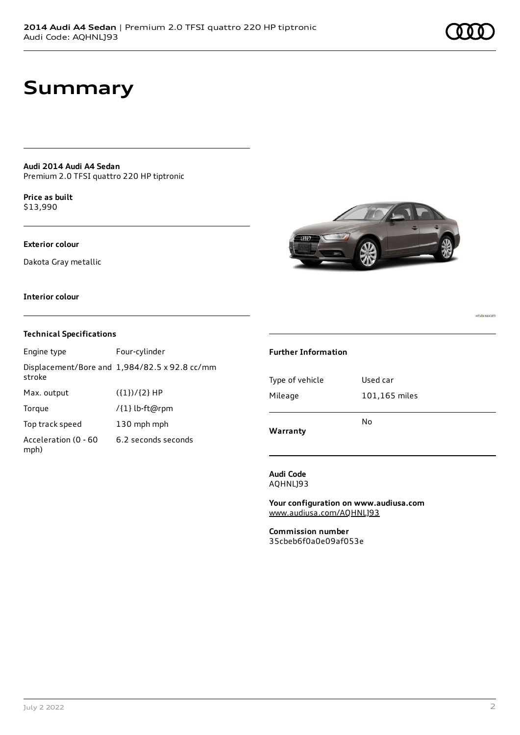**PEVOX IMAGES** 

## **Summary**

**Audi 2014 Audi A4 Sedan** Premium 2.0 TFSI quattro 220 HP tiptronic

**Price as buil[t](#page-10-0)** \$13,990

### **Exterior colour**

Dakota Gray metallic



### **Interior colour**

### **Technical Specifications**

| Engine type                  | Four-cylinder                                 |
|------------------------------|-----------------------------------------------|
| stroke                       | Displacement/Bore and 1,984/82.5 x 92.8 cc/mm |
| Max. output                  | $({1})/{2}$ HP                                |
| Torque                       | /{1} lb-ft@rpm                                |
| Top track speed              | 130 mph mph                                   |
| Acceleration (0 - 60<br>mph) | 6.2 seconds seconds                           |

#### **Further Information**

| Warranty        |               |  |  |
|-----------------|---------------|--|--|
|                 | No            |  |  |
| Mileage         | 101,165 miles |  |  |
| Type of vehicle | Used car      |  |  |
|                 |               |  |  |

**Audi Code** AQHNLJ93

**Your configuration on www.audiusa.com** [www.audiusa.com/AQHNLJ93](https://www.audiusa.com/AQHNLJ93)

**Commission number** 35cbeb6f0a0e09af053e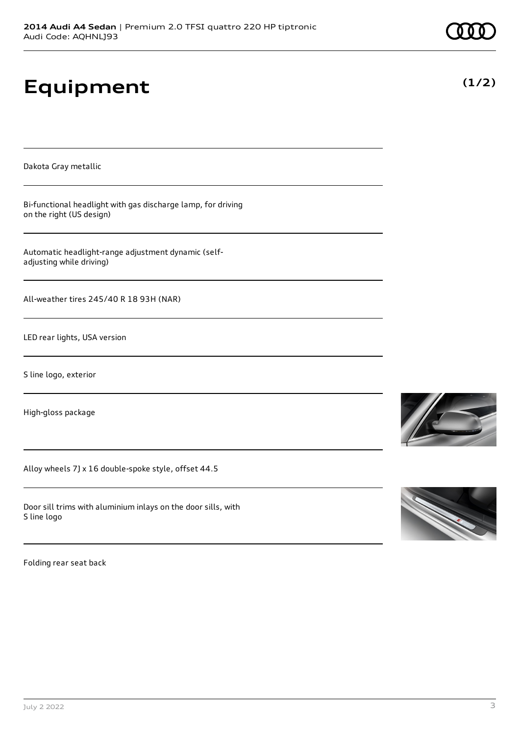|                     | 2014 Audi A4 Sedan   Premium 2.0 TFSI quattro 220 HP tiptronic |  |
|---------------------|----------------------------------------------------------------|--|
| Audi Code: AQHNL]93 |                                                                |  |

# **Equipment**

Dakota Gray metallic

Bi-functional headlight with gas discharge lamp, for driving on the right (US design)

Automatic headlight-range adjustment dynamic (selfadjusting while driving)

All-weather tires 245/40 R 18 93H (NAR)

LED rear lights, USA version

S line logo, exterior

High-gloss package

Alloy wheels 7J x 16 double-spoke style, offset 44.5

Door sill trims with aluminium inlays on the door sills, with S line logo

Folding rear seat back







**(1/2)**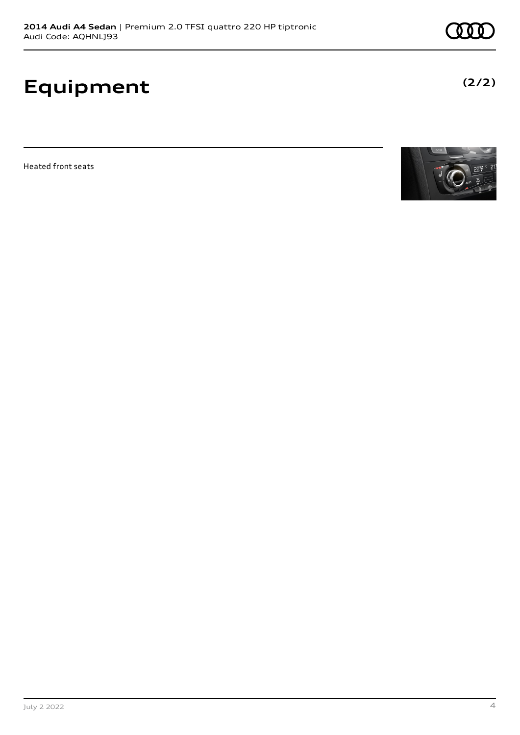## **Equipment**

Heated front seats



**(2/2)**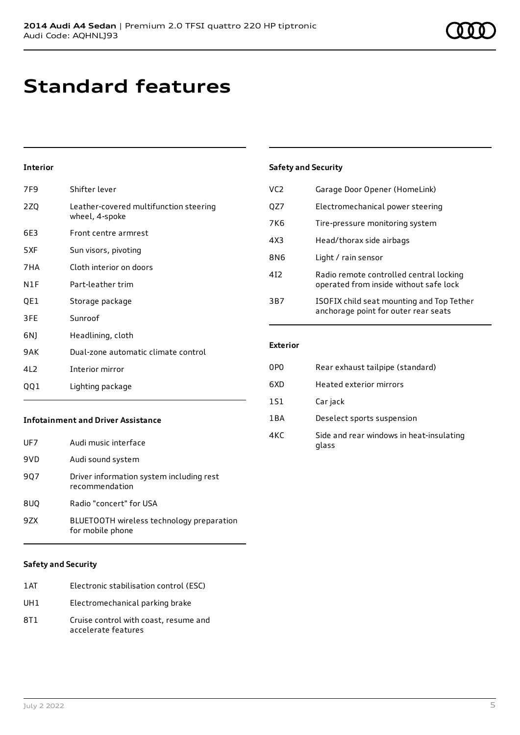## **Standard features**

## **Interior**

| 7F9                                       | Shifter lever                                            |
|-------------------------------------------|----------------------------------------------------------|
| 2ZQ                                       | Leather-covered multifunction steering<br>wheel, 4-spoke |
| 6E3                                       | Front centre armrest                                     |
| 5XF                                       | Sun visors, pivoting                                     |
| 7HA                                       | Cloth interior on doors                                  |
| N1F                                       | Part-leather trim                                        |
| QE1                                       | Storage package                                          |
| 3FE                                       | Sunroof                                                  |
| 6N)                                       | Headlining, cloth                                        |
| 9AK                                       | Dual-zone automatic climate control                      |
| 4L2                                       | Interior mirror                                          |
| QQ1                                       | Lighting package                                         |
| <b>Infotainment and Driver Assistance</b> |                                                          |

| UF7 | Audi music interface                                          |
|-----|---------------------------------------------------------------|
| 9VD | Audi sound system                                             |
| 907 | Driver information system including rest<br>recommendation    |
| 8UQ | Radio "concert" for USA                                       |
| 9ZX | BLUETOOTH wireless technology preparation<br>for mobile phone |

### **Safety and Security**

| 1AT | Electronic stabilisation control (ESC) |
|-----|----------------------------------------|
| UH1 | Electromechanical parking brake        |

8T1 Cruise control with coast, resume and accelerate features

### **Safety and Security**

| VC <sub>2</sub> | Garage Door Opener (HomeLink)                                                     |
|-----------------|-----------------------------------------------------------------------------------|
| QZ7             | Electromechanical power steering                                                  |
| 7K <sub>6</sub> | Tire-pressure monitoring system                                                   |
| 4X3             | Head/thorax side airbags                                                          |
| 8N6             | Light / rain sensor                                                               |
| 412             | Radio remote controlled central locking<br>operated from inside without safe lock |
| 3B7             | ISOFIX child seat mounting and Top Tether<br>anchorage point for outer rear seats |

### **Exterior**

| 0P <sub>0</sub> | Rear exhaust tailpipe (standard)                  |
|-----------------|---------------------------------------------------|
| 6XD             | Heated exterior mirrors                           |
| <b>1S1</b>      | Car jack                                          |
| 1BA             | Deselect sports suspension                        |
| 4KC             | Side and rear windows in heat-insulating<br>glass |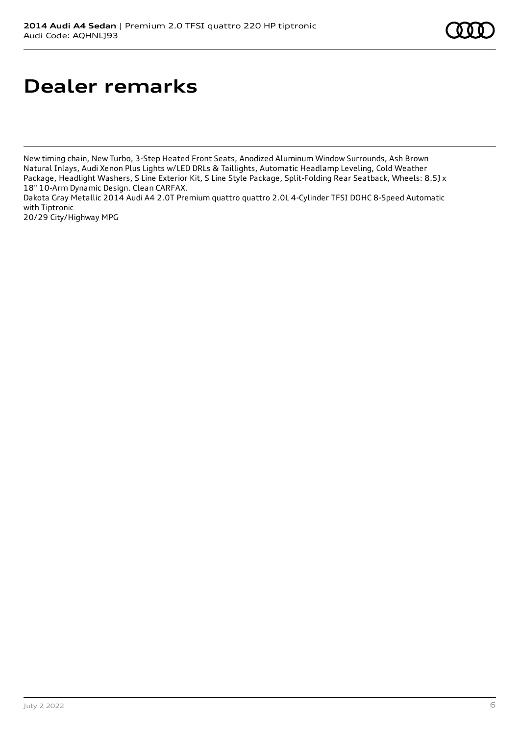## **Dealer remarks**

New timing chain, New Turbo, 3-Step Heated Front Seats, Anodized Aluminum Window Surrounds, Ash Brown Natural Inlays, Audi Xenon Plus Lights w/LED DRLs & Taillights, Automatic Headlamp Leveling, Cold Weather Package, Headlight Washers, S Line Exterior Kit, S Line Style Package, Split-Folding Rear Seatback, Wheels: 8.5J x 18" 10-Arm Dynamic Design. Clean CARFAX.

Dakota Gray Metallic 2014 Audi A4 2.0T Premium quattro quattro 2.0L 4-Cylinder TFSI DOHC 8-Speed Automatic with Tiptronic

20/29 City/Highway MPG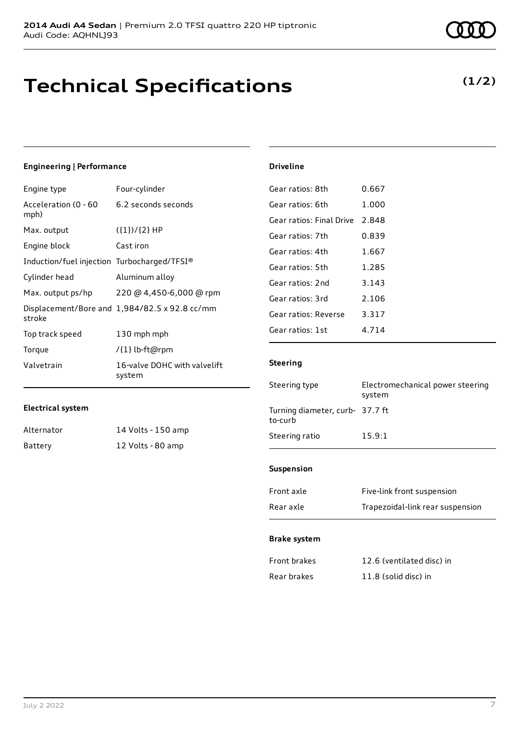## **Technical Specifications**

## **(1/2)**

### **Engineering | Performance**

| Engine type                                 | Four-cylinder                                 |
|---------------------------------------------|-----------------------------------------------|
| Acceleration (0 - 60<br>mph)                | 6.2 seconds seconds                           |
| Max. output                                 | $({1})/{2}$ HP                                |
| Engine block                                | Cast iron                                     |
| Induction/fuel injection Turbocharged/TFSI® |                                               |
| Cylinder head                               | Aluminum alloy                                |
| Max. output ps/hp                           | 220 @ 4,450-6,000 @ rpm                       |
| stroke                                      | Displacement/Bore and 1,984/82.5 x 92.8 cc/mm |
| Top track speed                             | 130 mph mph                                   |
| Torque                                      | /{1} lb-ft@rpm                                |
| Valvetrain                                  | 16-valve DOHC with valvelift<br>system        |

### **Electrical system**

| Alternator | 14 Volts - 150 amp |
|------------|--------------------|
| Battery    | 12 Volts - 80 amp  |

## **Driveline**

| Gear ratios: 8th         | 0.667 |
|--------------------------|-------|
| Gear ratios: 6th         | 1.000 |
| Gear ratios: Final Drive | 2.848 |
| Gear ratios: 7th         | 0.839 |
| Gear ratios: 4th         | 1.667 |
| Gear ratios: 5th         | 1.285 |
| Gear ratios: 2nd         | 3.143 |
| Gear ratios: 3rd         | 2.106 |
| Gear ratios: Reverse     | 3.317 |
| Gear ratios: 1st         | 4 714 |

### **Steering**

| Steering type                              | Electromechanical power steering<br>system |
|--------------------------------------------|--------------------------------------------|
| Turning diameter, curb- 37.7 ft<br>to-curb |                                            |
| Steering ratio                             | 15.9:1                                     |
|                                            |                                            |

### **Suspension**

| Front axle | Five-link front suspension       |
|------------|----------------------------------|
| Rear axle  | Trapezoidal-link rear suspension |

#### **Brake system**

| Front brakes | 12.6 (ventilated disc) in |
|--------------|---------------------------|
| Rear brakes  | 11.8 (solid disc) in      |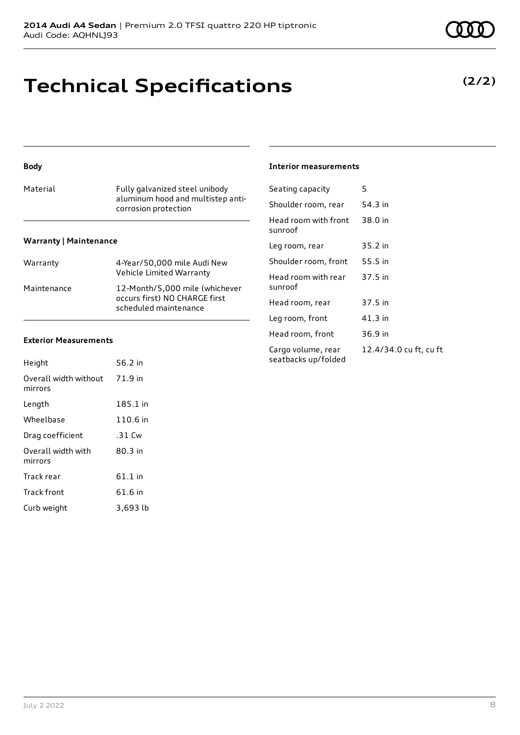## **Technical Specifications**

## **Body**

| Material                      | Fully galvanized steel unibody<br>aluminum hood and multistep anti-<br>corrosion protection |  |
|-------------------------------|---------------------------------------------------------------------------------------------|--|
| <b>Warranty   Maintenance</b> |                                                                                             |  |
| Warranty                      | 4-Year/50,000 mile Audi New                                                                 |  |

## Vehicle Limited Warranty Maintenance 12-Month/5,000 mile (whichever

| occurs first) NO CHARGE first<br>scheduled maintenance |
|--------------------------------------------------------|
|                                                        |

## **Exterior Measurements**

| Height                           | 56.2 in   |
|----------------------------------|-----------|
| Overall width without<br>mirrors | 71.9 in   |
| Length                           | 185.1 in  |
| Wheelbase                        | 110.6 in  |
| Drag coefficient                 | $.31$ Cw  |
| Overall width with<br>mirrors    | $80.3$ in |
| Track rear                       | $61.1$ in |
| <b>Track front</b>               | 61.6 in   |
| Curb weight                      | 3,693 lb  |

| Interior measurements |
|-----------------------|
|                       |

| Seating capacity                          | 5                      |
|-------------------------------------------|------------------------|
| Shoulder room, rear                       | 54.3 in                |
| Head room with front<br>sunroof           | 38.0 in                |
| Leg room, rear                            | 35.2 in                |
| Shoulder room, front                      | 55.5 in                |
| Head room with rear<br>sunroof            | 37.5 in                |
| Head room, rear                           | 37.5 in                |
| Leg room, front                           | $41.3$ in              |
| Head room, front                          | 36.9 in                |
| Cargo volume, rear<br>seatbacks up/folded | 12.4/34.0 cu ft, cu ft |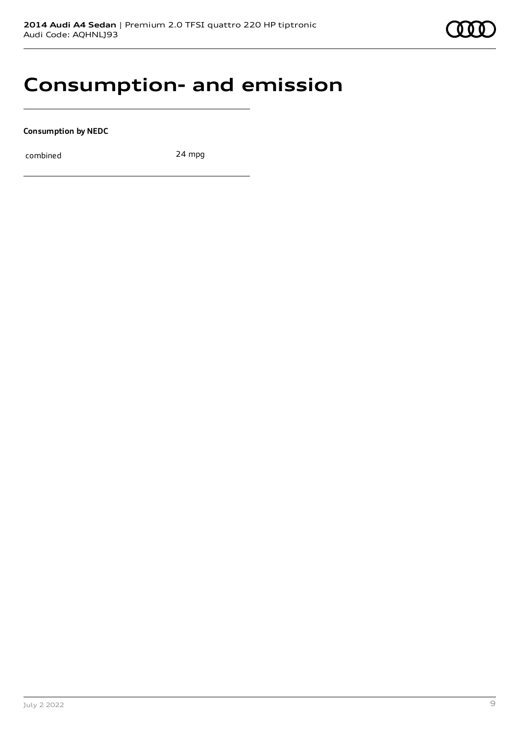## **Consumption- and emission**

**Consumption by NEDC**

combined 24 mpg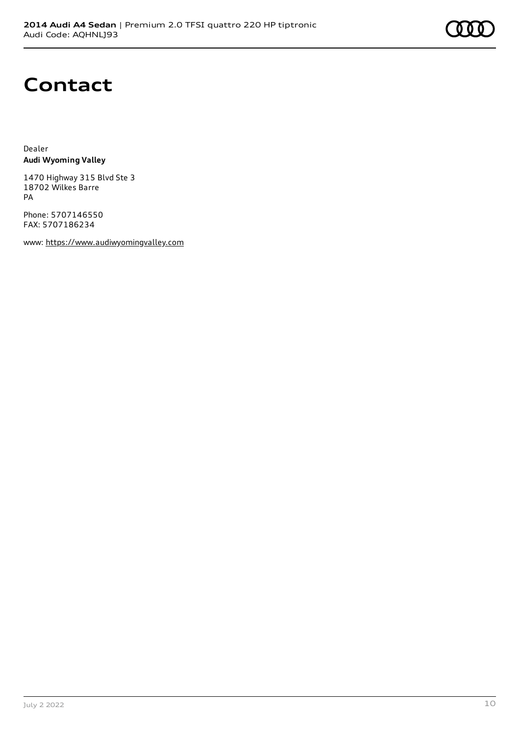## **Contact**

Dealer **Audi Wyoming Valley**

1470 Highway 315 Blvd Ste 3 18702 Wilkes Barre PA

Phone: 5707146550 FAX: 5707186234

www: [https://www.audiwyomingvalley.com](https://www.audiwyomingvalley.com/)